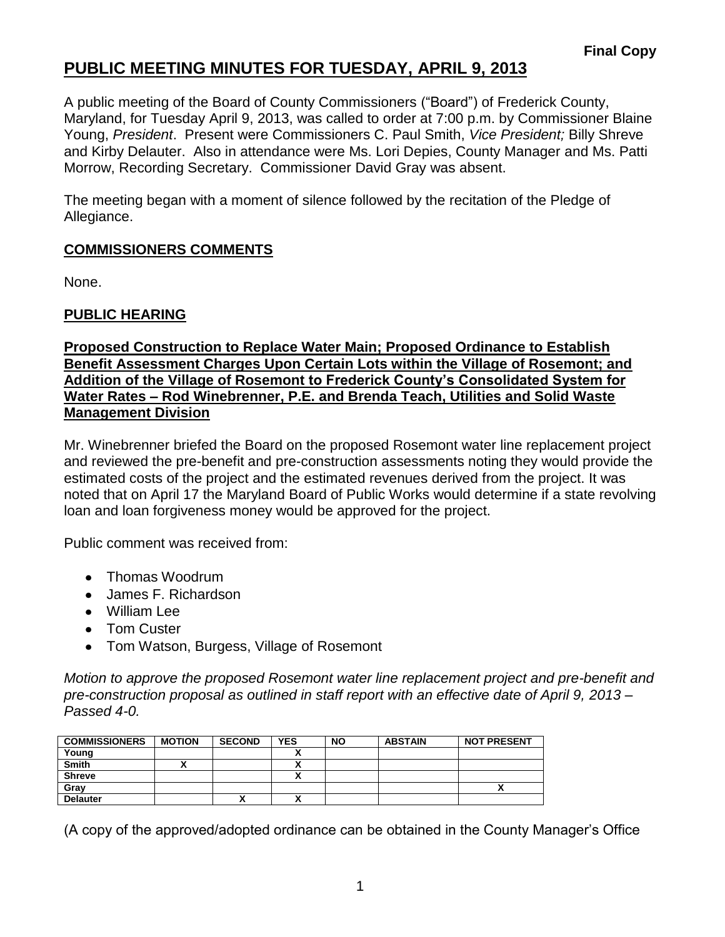## **PUBLIC MEETING MINUTES FOR TUESDAY, APRIL 9, 2013**

A public meeting of the Board of County Commissioners ("Board") of Frederick County, Maryland, for Tuesday April 9, 2013, was called to order at 7:00 p.m. by Commissioner Blaine Young, *President*. Present were Commissioners C. Paul Smith, *Vice President;* Billy Shreve and Kirby Delauter. Also in attendance were Ms. Lori Depies, County Manager and Ms. Patti Morrow, Recording Secretary. Commissioner David Gray was absent.

The meeting began with a moment of silence followed by the recitation of the Pledge of Allegiance.

## **COMMISSIONERS COMMENTS**

None.

## **PUBLIC HEARING**

#### **Proposed Construction to Replace Water Main; Proposed Ordinance to Establish Benefit Assessment Charges Upon Certain Lots within the Village of Rosemont; and Addition of the Village of Rosemont to Frederick County's Consolidated System for Water Rates – Rod Winebrenner, P.E. and Brenda Teach, Utilities and Solid Waste Management Division**

Mr. Winebrenner briefed the Board on the proposed Rosemont water line replacement project and reviewed the pre-benefit and pre-construction assessments noting they would provide the estimated costs of the project and the estimated revenues derived from the project. It was noted that on April 17 the Maryland Board of Public Works would determine if a state revolving loan and loan forgiveness money would be approved for the project.

Public comment was received from:

- Thomas Woodrum
- James F. Richardson
- William Lee
- Tom Custer
- Tom Watson, Burgess, Village of Rosemont

*Motion to approve the proposed Rosemont water line replacement project and pre-benefit and pre-construction proposal as outlined in staff report with an effective date of April 9, 2013 – Passed 4-0.*

| <b>COMMISSIONERS</b> | <b>MOTION</b> | <b>SECOND</b> | <b>YES</b> | <b>NO</b> | <b>ABSTAIN</b> | <b>NOT PRESENT</b> |
|----------------------|---------------|---------------|------------|-----------|----------------|--------------------|
| Young                |               |               |            |           |                |                    |
| <b>Smith</b>         |               |               |            |           |                |                    |
| Shreve               |               |               |            |           |                |                    |
| Gray                 |               |               |            |           |                | ^                  |
| <b>Delauter</b>      |               | Λ             |            |           |                |                    |

(A copy of the approved/adopted ordinance can be obtained in the County Manager's Office